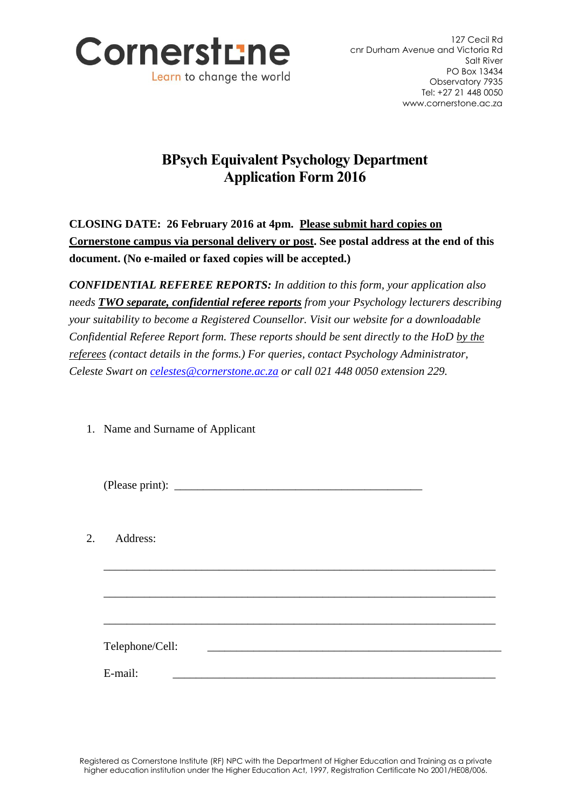

## **BPsych Equivalent Psychology Department Application Form 2016**

**CLOSING DATE: 26 February 2016 at 4pm. Please submit hard copies on Cornerstone campus via personal delivery or post. See postal address at the end of this document. (No e-mailed or faxed copies will be accepted.)**

*CONFIDENTIAL REFEREE REPORTS: In addition to this form, your application also needs TWO separate, confidential referee reports from your Psychology lecturers describing your suitability to become a Registered Counsellor. Visit our website for a downloadable Confidential Referee Report form. These reports should be sent directly to the HoD by the referees (contact details in the forms.) For queries, contact Psychology Administrator, Celeste Swart on [celestes@cornerstone.ac.za](mailto:celestes@cornerstone.ac.za) or call 021 448 0050 extension 229.*

1. Name and Surname of Applicant

| 2. | Address:        |  |
|----|-----------------|--|
|    |                 |  |
|    |                 |  |
|    | Telephone/Cell: |  |
|    | E-mail:         |  |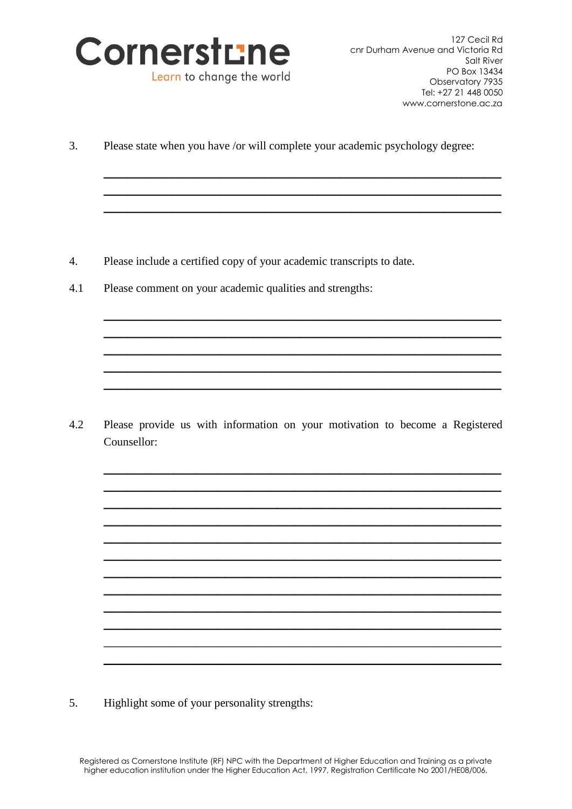

 $\overline{3}$ . Please state when you have /or will complete your academic psychology degree:

- $\overline{4}$ . Please include a certified copy of your academic transcripts to date.
- 4.1 Please comment on your academic qualities and strengths:

 $4.2$ Please provide us with information on your motivation to become a Registered Counsellor:

 $\overline{5}$ . Highlight some of your personality strengths: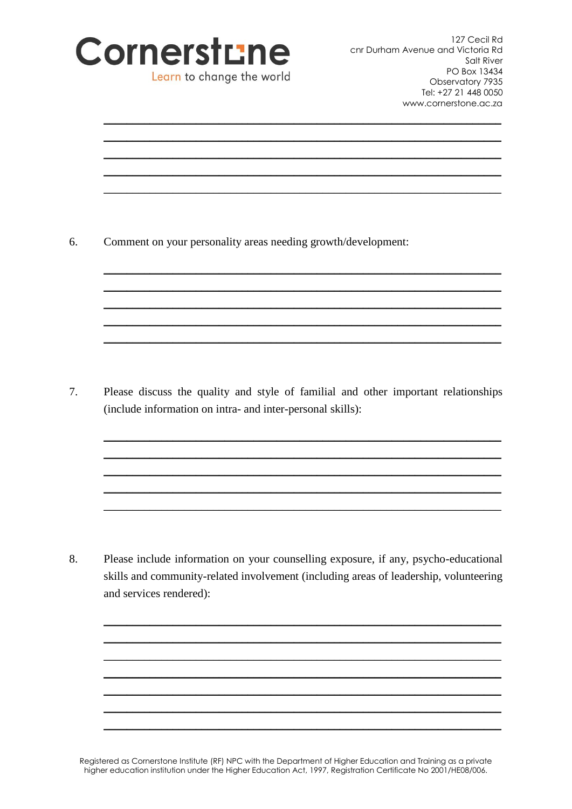

127 Cecil Rd cnr Durham Avenue and Victoria Rd Salt River PO Box 13434 Observatory 7935 Tel: +27 21 448 0050 www.cornerstone.ac.za

| Comment on your personality areas needing growth/development:                                                                                                                |
|------------------------------------------------------------------------------------------------------------------------------------------------------------------------------|
|                                                                                                                                                                              |
| Please discuss the quality and style of familial and other important relationships<br>(include information on intra- and inter-personal skills):                             |
|                                                                                                                                                                              |
|                                                                                                                                                                              |
| Please include information on your counselling exposure, if any, psycho-educational<br>skills and community-related involvement (including areas of leadership, volunteering |

Registered as Cornerstone Institute (RF) NPC with the Department of Higher Education and Training as a private higher education institution under the Higher Education Act, 1997, Registration Certificate No 2001/HE08/006.